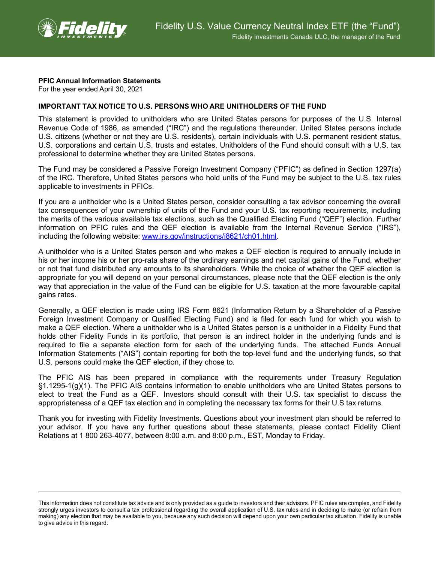

## **PFIC Annual Information Statements**

For the year ended April 30, 2021

## **IMPORTANT TAX NOTICE TO U.S. PERSONS WHO ARE UNITHOLDERS OF THE FUND**

This statement is provided to unitholders who are United States persons for purposes of the U.S. Internal Revenue Code of 1986, as amended ("IRC") and the regulations thereunder. United States persons include U.S. citizens (whether or not they are U.S. residents), certain individuals with U.S. permanent resident status, U.S. corporations and certain U.S. trusts and estates. Unitholders of the Fund should consult with a U.S. tax professional to determine whether they are United States persons.

The Fund may be considered a Passive Foreign Investment Company ("PFIC") as defined in Section 1297(a) of the IRC. Therefore, United States persons who hold units of the Fund may be subject to the U.S. tax rules applicable to investments in PFICs.

If you are a unitholder who is a United States person, consider consulting a tax advisor concerning the overall tax consequences of your ownership of units of the Fund and your U.S. tax reporting requirements, including the merits of the various available tax elections, such as the Qualified Electing Fund ("QEF") election. Further information on PFIC rules and the QEF election is available from the Internal Revenue Service ("IRS"), including the following website: [www.irs.gov/instructions/i8621/ch01.html.](http://www.irs.gov/instructions/i8621/ch01.html)

A unitholder who is a United States person and who makes a QEF election is required to annually include in his or her income his or her pro-rata share of the ordinary earnings and net capital gains of the Fund, whether or not that fund distributed any amounts to its shareholders. While the choice of whether the QEF election is appropriate for you will depend on your personal circumstances, please note that the QEF election is the only way that appreciation in the value of the Fund can be eligible for U.S. taxation at the more favourable capital gains rates.

Generally, a QEF election is made using IRS Form 8621 (Information Return by a Shareholder of a Passive Foreign Investment Company or Qualified Electing Fund) and is filed for each fund for which you wish to make a QEF election. Where a unitholder who is a United States person is a unitholder in a Fidelity Fund that holds other Fidelity Funds in its portfolio, that person is an indirect holder in the underlying funds and is required to file a separate election form for each of the underlying funds. The attached Funds Annual Information Statements ("AIS") contain reporting for both the top-level fund and the underlying funds, so that U.S. persons could make the QEF election, if they chose to.

The PFIC AIS has been prepared in compliance with the requirements under Treasury Regulation §1.1295-1(g)(1). The PFIC AIS contains information to enable unitholders who are United States persons to elect to treat the Fund as a QEF. Investors should consult with their U.S. tax specialist to discuss the appropriateness of a QEF tax election and in completing the necessary tax forms for their U.S tax returns.

Thank you for investing with Fidelity Investments. Questions about your investment plan should be referred to your advisor. If you have any further questions about these statements, please contact Fidelity Client Relations at 1 800 263-4077, between 8:00 a.m. and 8:00 p.m., EST, Monday to Friday.

This information does not constitute tax advice and is only provided as a guide to investors and their advisors. PFIC rules are complex, and Fidelity strongly urges investors to consult a tax professional regarding the overall application of U.S. tax rules and in deciding to make (or refrain from making) any election that may be available to you, because any such decision will depend upon your own particular tax situation. Fidelity is unable to give advice in this regard.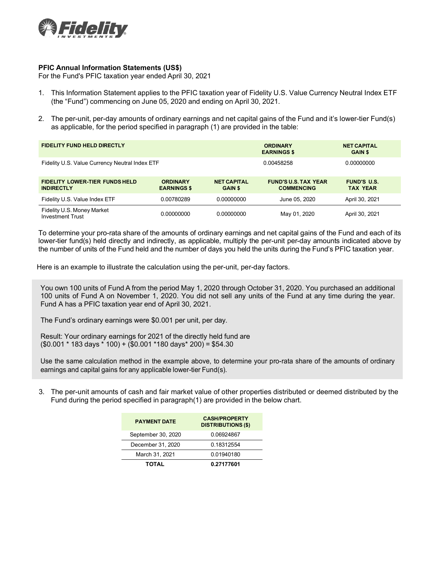

## **PFIC Annual Information Statements (US\$)**

For the Fund's PFIC taxation year ended April 30, 2021

- 1. This Information Statement applies to the PFIC taxation year of Fidelity U.S. Value Currency Neutral Index ETF (the "Fund") commencing on June 05, 2020 and ending on April 30, 2021.
- 2. The per-unit, per-day amounts of ordinary earnings and net capital gains of the Fund and it's lower-tier Fund(s) as applicable, for the period specified in paragraph (1) are provided in the table:

| <b>FIDELITY FUND HELD DIRECTLY</b>                         |                                       |                                      | <b>ORDINARY</b><br><b>EARNINGS \$</b>            | <b>NET CAPITAL</b><br><b>GAIN \$</b>  |  |
|------------------------------------------------------------|---------------------------------------|--------------------------------------|--------------------------------------------------|---------------------------------------|--|
| Fidelity U.S. Value Currency Neutral Index ETF             |                                       |                                      | 0.00458258                                       | 0.00000000                            |  |
| <b>FIDELITY LOWER-TIER FUNDS HELD</b><br><b>INDIRECTLY</b> | <b>ORDINARY</b><br><b>EARNINGS \$</b> | <b>NET CAPITAL</b><br><b>GAIN \$</b> | <b>FUND'S U.S. TAX YEAR</b><br><b>COMMENCING</b> | <b>FUND'S U.S.</b><br><b>TAX YEAR</b> |  |
| Fidelity U.S. Value Index ETF                              | 0.00780289                            | 0.00000000                           | June 05, 2020                                    | April 30, 2021                        |  |
| Fidelity U.S. Money Market<br><b>Investment Trust</b>      | 0.00000000                            | 0.00000000                           | May 01, 2020                                     | April 30, 2021                        |  |

To determine your pro-rata share of the amounts of ordinary earnings and net capital gains of the Fund and each of its lower-tier fund(s) held directly and indirectly, as applicable, multiply the per-unit per-day amounts indicated above by the number of units of the Fund held and the number of days you held the units during the Fund's PFIC taxation year.

Here is an example to illustrate the calculation using the per-unit, per-day factors.

You own 100 units of Fund A from the period May 1, 2020 through October 31, 2020. You purchased an additional 100 units of Fund A on November 1, 2020. You did not sell any units of the Fund at any time during the year. Fund A has a PFIC taxation year end of April 30, 2021.

The Fund's ordinary earnings were \$0.001 per unit, per day.

Result: Your ordinary earnings for 2021 of the directly held fund are (\$0.001 \* 183 days \* 100) + (\$0.001 \*180 days\* 200) = \$54.30

Use the same calculation method in the example above, to determine your pro-rata share of the amounts of ordinary earnings and capital gains for any applicable lower-tier Fund(s).

3. The per-unit amounts of cash and fair market value of other properties distributed or deemed distributed by the Fund during the period specified in paragraph(1) are provided in the below chart.

| <b>PAYMENT DATE</b> | <b>CASH/PROPERTY</b><br><b>DISTRIBUTIONS (\$)</b> |  |  |
|---------------------|---------------------------------------------------|--|--|
| September 30, 2020  | 0.06924867                                        |  |  |
| December 31, 2020   | 0.18312554                                        |  |  |
| March 31, 2021      | 0.01940180                                        |  |  |
| <b>TOTAL</b>        | 0.27177601                                        |  |  |